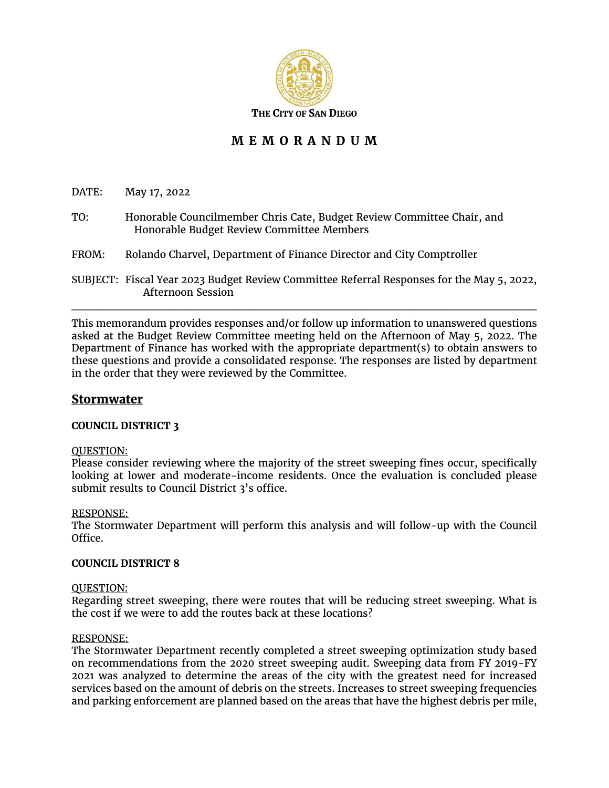

# **M E M O R A N D U M**

DATE: May 17, 2022

- TO: Honorable Councilmember Chris Cate, Budget Review Committee Chair, and Honorable Budget Review Committee Members
- FROM: Rolando Charvel, Department of Finance Director and City Comptroller
- SUBJECT: Fiscal Year 2023 Budget Review Committee Referral Responses for the May 5, 2022, Afternoon Session  $\mathcal{L}_\mathcal{L}$  , and the contribution of the contribution of the contribution of the contribution of the contribution of the contribution of the contribution of the contribution of the contribution of the contribution of

This memorandum provides responses and/or follow up information to unanswered questions asked at the Budget Review Committee meeting held on the Afternoon of May 5, 2022. The Department of Finance has worked with the appropriate department(s) to obtain answers to these questions and provide a consolidated response. The responses are listed by department in the order that they were reviewed by the Committee.

## **Stormwater**

### **COUNCIL DISTRICT 3**

### QUESTION:

Please consider reviewing where the majority of the street sweeping fines occur, specifically looking at lower and moderate-income residents. Once the evaluation is concluded please submit results to Council District 3's office.

### RESPONSE:

The Stormwater Department will perform this analysis and will follow-up with the Council Office.

### **COUNCIL DISTRICT 8**

### QUESTION:

Regarding street sweeping, there were routes that will be reducing street sweeping. What is the cost if we were to add the routes back at these locations?

### RESPONSE:

The Stormwater Department recently completed a street sweeping optimization study based on recommendations from the 2020 street sweeping audit. Sweeping data from FY 2019-FY 2021 was analyzed to determine the areas of the city with the greatest need for increased services based on the amount of debris on the streets. Increases to street sweeping frequencies and parking enforcement are planned based on the areas that have the highest debris per mile,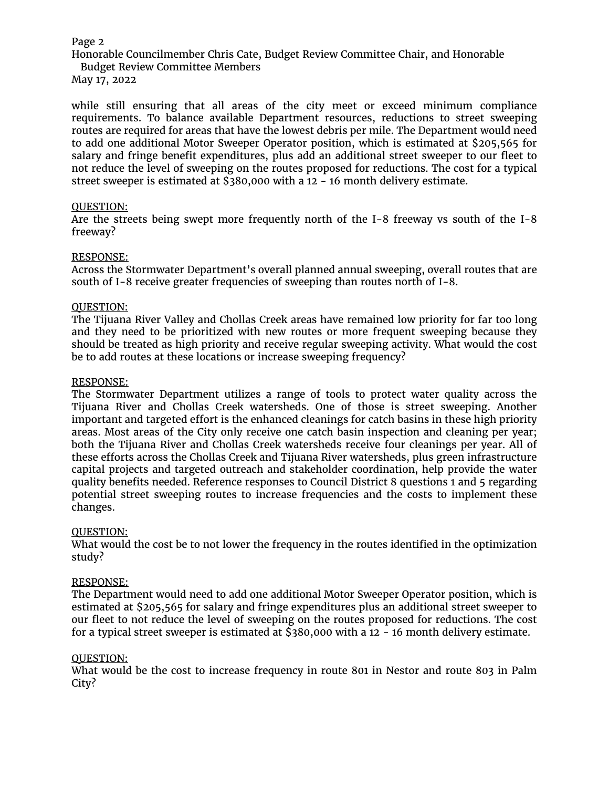### Page 2

Honorable Councilmember Chris Cate, Budget Review Committee Chair, and Honorable

Budget Review Committee Members May 17, 2022

while still ensuring that all areas of the city meet or exceed minimum compliance requirements. To balance available Department resources, reductions to street sweeping routes are required for areas that have the lowest debris per mile. The Department would need to add one additional Motor Sweeper Operator position, which is estimated at \$205,565 for salary and fringe benefit expenditures, plus add an additional street sweeper to our fleet to not reduce the level of sweeping on the routes proposed for reductions. The cost for a typical street sweeper is estimated at  $\frac{2880,000}{12}$  with a 12 - 16 month delivery estimate.

### QUESTION:

Are the streets being swept more frequently north of the I-8 freeway vs south of the I-8 freeway?

### RESPONSE:

Across the Stormwater Department's overall planned annual sweeping, overall routes that are south of I-8 receive greater frequencies of sweeping than routes north of I-8.

### QUESTION:

The Tijuana River Valley and Chollas Creek areas have remained low priority for far too long and they need to be prioritized with new routes or more frequent sweeping because they should be treated as high priority and receive regular sweeping activity. What would the cost be to add routes at these locations or increase sweeping frequency?

### RESPONSE:

The Stormwater Department utilizes a range of tools to protect water quality across the Tijuana River and Chollas Creek watersheds. One of those is street sweeping. Another important and targeted effort is the enhanced cleanings for catch basins in these high priority areas. Most areas of the City only receive one catch basin inspection and cleaning per year; both the Tijuana River and Chollas Creek watersheds receive four cleanings per year. All of these efforts across the Chollas Creek and Tijuana River watersheds, plus green infrastructure capital projects and targeted outreach and stakeholder coordination, help provide the water quality benefits needed. Reference responses to Council District 8 questions 1 and 5 regarding potential street sweeping routes to increase frequencies and the costs to implement these changes.

### QUESTION:

What would the cost be to not lower the frequency in the routes identified in the optimization study?

### RESPONSE:

The Department would need to add one additional Motor Sweeper Operator position, which is estimated at \$205,565 for salary and fringe expenditures plus an additional street sweeper to our fleet to not reduce the level of sweeping on the routes proposed for reductions. The cost for a typical street sweeper is estimated at \$380,000 with a 12 - 16 month delivery estimate.

### QUESTION:

What would be the cost to increase frequency in route 801 in Nestor and route 803 in Palm City?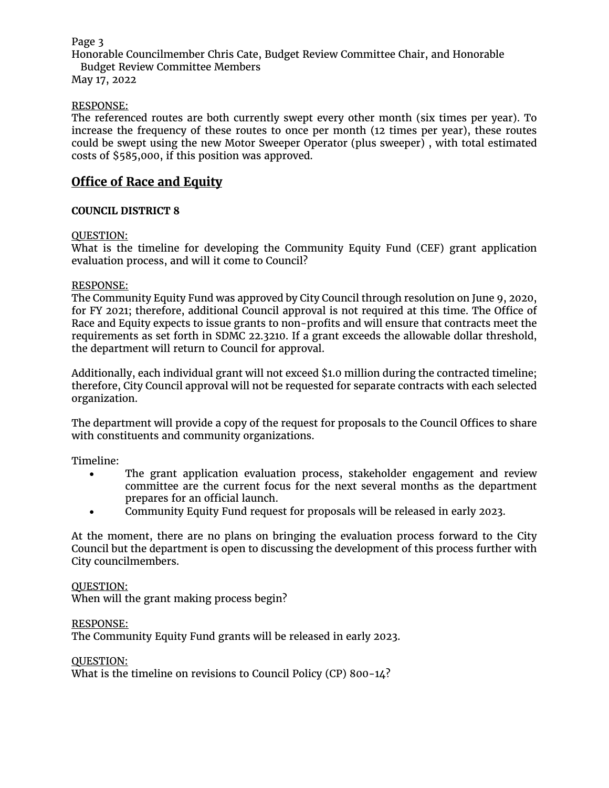## Page 3

Honorable Councilmember Chris Cate, Budget Review Committee Chair, and Honorable Budget Review Committee Members

May 17, 2022

## RESPONSE:

The referenced routes are both currently swept every other month (six times per year). To increase the frequency of these routes to once per month (12 times per year), these routes could be swept using the new Motor Sweeper Operator (plus sweeper) , with total estimated costs of \$585,000, if this position was approved.

## **Office of Race and Equity**

## **COUNCIL DISTRICT 8**

## QUESTION:

What is the timeline for developing the Community Equity Fund (CEF) grant application evaluation process, and will it come to Council?

### RESPONSE:

The Community Equity Fund was approved by City Council through resolution on June 9, 2020, for FY 2021; therefore, additional Council approval is not required at this time. The Office of Race and Equity expects to issue grants to non-profits and will ensure that contracts meet the requirements as set forth in SDMC 22.3210. If a grant exceeds the allowable dollar threshold, the department will return to Council for approval.

Additionally, each individual grant will not exceed \$1.0 million during the contracted timeline; therefore, City Council approval will not be requested for separate contracts with each selected organization.

The department will provide a copy of the request for proposals to the Council Offices to share with constituents and community organizations.

Timeline:

- The grant application evaluation process, stakeholder engagement and review committee are the current focus for the next several months as the department prepares for an official launch.
- Community Equity Fund request for proposals will be released in early 2023.

At the moment, there are no plans on bringing the evaluation process forward to the City Council but the department is open to discussing the development of this process further with City councilmembers.

### QUESTION:

When will the grant making process begin?

### RESPONSE:

The Community Equity Fund grants will be released in early 2023.

### QUESTION:

What is the timeline on revisions to Council Policy (CP) 800-14?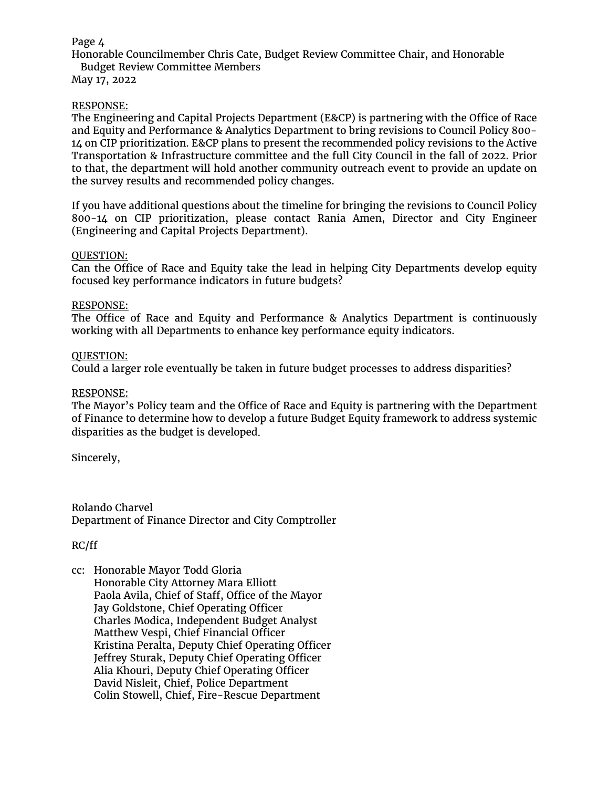## Page  $\Delta$

Honorable Councilmember Chris Cate, Budget Review Committee Chair, and Honorable Budget Review Committee Members

May 17, 2022

### RESPONSE:

The Engineering and Capital Projects Department (E&CP) is partnering with the Office of Race and Equity and Performance & Analytics Department to bring revisions to Council Policy 800- 14 on CIP prioritization. E&CP plans to present the recommended policy revisions to the Active Transportation & Infrastructure committee and the full City Council in the fall of 2022. Prior to that, the department will hold another community outreach event to provide an update on the survey results and recommended policy changes.

If you have additional questions about the timeline for bringing the revisions to Council Policy 800-14 on CIP prioritization, please contact Rania Amen, Director and City Engineer (Engineering and Capital Projects Department).

### QUESTION:

Can the Office of Race and Equity take the lead in helping City Departments develop equity focused key performance indicators in future budgets?

### RESPONSE:

The Office of Race and Equity and Performance & Analytics Department is continuously working with all Departments to enhance key performance equity indicators.

### QUESTION:

Could a larger role eventually be taken in future budget processes to address disparities?

### RESPONSE:

The Mayor's Policy team and the Office of Race and Equity is partnering with the Department of Finance to determine how to develop a future Budget Equity framework to address systemic disparities as the budget is developed.

Sincerely,

Rolando Charvel Department of Finance Director and City Comptroller

### RC/ff

cc: Honorable Mayor Todd Gloria Honorable City Attorney Mara Elliott Paola Avila, Chief of Staff, Office of the Mayor Jay Goldstone, Chief Operating Officer Charles Modica, Independent Budget Analyst Matthew Vespi, Chief Financial Officer Kristina Peralta, Deputy Chief Operating Officer Jeffrey Sturak, Deputy Chief Operating Officer Alia Khouri, Deputy Chief Operating Officer David Nisleit, Chief, Police Department Colin Stowell, Chief, Fire-Rescue Department